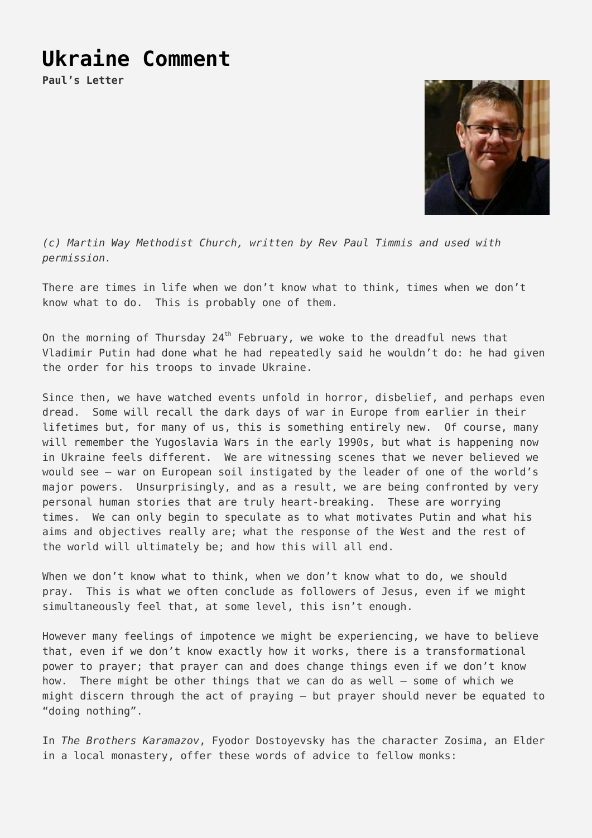## **[Ukraine Comment](https://stoneleighmethodist.church/ukraine-comment/)**

**Paul's Letter**



*(c) Martin Way Methodist Church, written by Rev Paul Timmis and used with permission.*

There are times in life when we don't know what to think, times when we don't know what to do. This is probably one of them.

On the morning of Thursday  $24<sup>th</sup>$  February, we woke to the dreadful news that Vladimir Putin had done what he had repeatedly said he wouldn't do: he had given the order for his troops to invade Ukraine.

Since then, we have watched events unfold in horror, disbelief, and perhaps even dread. Some will recall the dark days of war in Europe from earlier in their lifetimes but, for many of us, this is something entirely new. Of course, many will remember the Yugoslavia Wars in the early 1990s, but what is happening now in Ukraine feels different. We are witnessing scenes that we never believed we would see – war on European soil instigated by the leader of one of the world's major powers. Unsurprisingly, and as a result, we are being confronted by very personal human stories that are truly heart-breaking. These are worrying times. We can only begin to speculate as to what motivates Putin and what his aims and objectives really are; what the response of the West and the rest of the world will ultimately be; and how this will all end.

When we don't know what to think, when we don't know what to do, we should pray. This is what we often conclude as followers of Jesus, even if we might simultaneously feel that, at some level, this isn't enough.

However many feelings of impotence we might be experiencing, we have to believe that, even if we don't know exactly how it works, there is a transformational power to prayer; that prayer can and does change things even if we don't know how. There might be other things that we can do as well – some of which we might discern through the act of praying – but prayer should never be equated to "doing nothing".

In *The Brothers Karamazov*, Fyodor Dostoyevsky has the character Zosima, an Elder in a local monastery, offer these words of advice to fellow monks: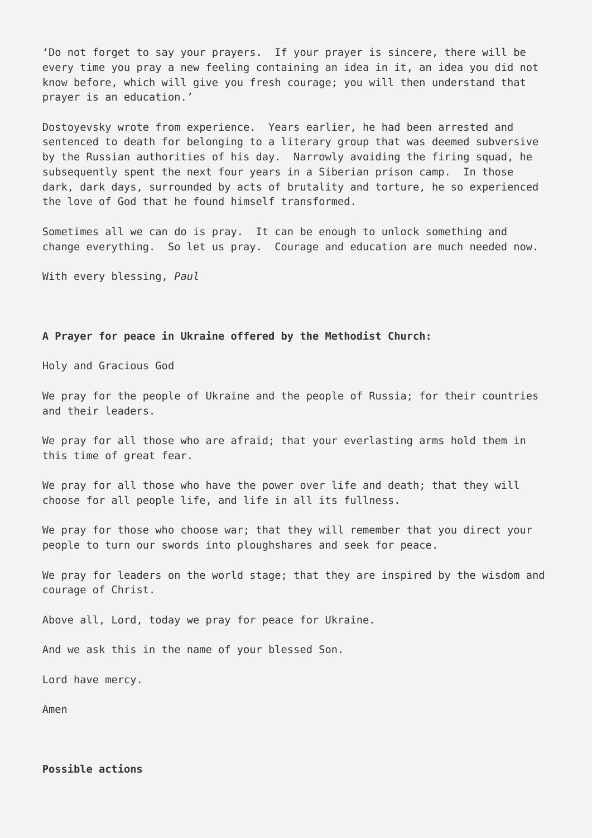'Do not forget to say your prayers. If your prayer is sincere, there will be every time you pray a new feeling containing an idea in it, an idea you did not know before, which will give you fresh courage; you will then understand that prayer is an education.'

Dostoyevsky wrote from experience. Years earlier, he had been arrested and sentenced to death for belonging to a literary group that was deemed subversive by the Russian authorities of his day. Narrowly avoiding the firing squad, he subsequently spent the next four years in a Siberian prison camp. In those dark, dark days, surrounded by acts of brutality and torture, he so experienced the love of God that he found himself transformed.

Sometimes all we can do is pray. It can be enough to unlock something and change everything. So let us pray. Courage and education are much needed now.

With every blessing, *Paul*

## **A Prayer for peace in Ukraine offered by the Methodist Church:**

Holy and Gracious God

We pray for the people of Ukraine and the people of Russia; for their countries and their leaders.

We pray for all those who are afraid; that your everlasting arms hold them in this time of great fear.

We pray for all those who have the power over life and death; that they will choose for all people life, and life in all its fullness.

We pray for those who choose war; that they will remember that you direct your people to turn our swords into ploughshares and seek for peace.

We pray for leaders on the world stage; that they are inspired by the wisdom and courage of Christ.

Above all, Lord, today we pray for peace for Ukraine.

And we ask this in the name of your blessed Son.

Lord have mercy.

Amen

## **Possible actions**